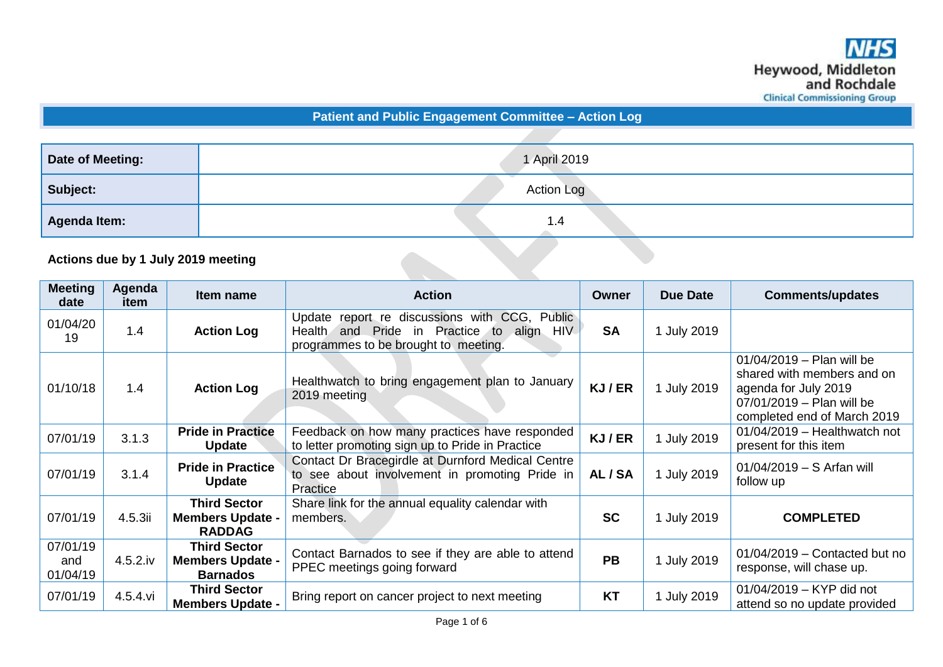**Patient and Public Engagement Committee – Action Log**

| <b>Date of Meeting:</b>            | 1 April 2019      |
|------------------------------------|-------------------|
| Subject:                           | <b>Action Log</b> |
| Agenda Item:                       | 1.4               |
| Actions due by 1 July 2019 meeting |                   |

## **Actions due by 1 July 2019 meeting**

| <b>Meeting</b><br>date      | Agenda<br>item | Item name                                                         | <b>Action</b>                                                                                                                                               | Owner     | <b>Due Date</b>  | <b>Comments/updates</b>                                                                                                                       |
|-----------------------------|----------------|-------------------------------------------------------------------|-------------------------------------------------------------------------------------------------------------------------------------------------------------|-----------|------------------|-----------------------------------------------------------------------------------------------------------------------------------------------|
| 01/04/20<br>19              | 1.4            | <b>Action Log</b>                                                 | report re discussions with CCG,<br>Public<br>Update<br>in Practice to<br><b>HIV</b><br>Health<br>and Pride<br>align<br>programmes to be brought to meeting. | <b>SA</b> | 1 July 2019      |                                                                                                                                               |
| 01/10/18                    | 1.4            | <b>Action Log</b>                                                 | Healthwatch to bring engagement plan to January<br>2019 meeting                                                                                             | KJ/ER     | July 2019        | $01/04/2019 -$ Plan will be<br>shared with members and on<br>agenda for July 2019<br>07/01/2019 - Plan will be<br>completed end of March 2019 |
| 07/01/19                    | 3.1.3          | <b>Pride in Practice</b><br><b>Update</b>                         | Feedback on how many practices have responded<br>to letter promoting sign up to Pride in Practice                                                           | KJ/ER     | <b>July 2019</b> | $01/04/2019$ - Healthwatch not<br>present for this item                                                                                       |
| 07/01/19                    | 3.1.4          | <b>Pride in Practice</b><br><b>Update</b>                         | Contact Dr Bracegirdle at Durnford Medical Centre<br>to see about involvement in promoting Pride in<br>Practice                                             | AL / SA   | July 2019        | $01/04/2019 - S$ Arfan will<br>follow up                                                                                                      |
| 07/01/19                    | 4.5.3ii        | <b>Third Sector</b><br><b>Members Update -</b><br><b>RADDAG</b>   | Share link for the annual equality calendar with<br>members.                                                                                                | <b>SC</b> | 1 July 2019      | <b>COMPLETED</b>                                                                                                                              |
| 07/01/19<br>and<br>01/04/19 | $4.5.2$ .iv    | <b>Third Sector</b><br><b>Members Update -</b><br><b>Barnados</b> | Contact Barnados to see if they are able to attend<br>PPEC meetings going forward                                                                           | <b>PB</b> | <b>July 2019</b> | $01/04/2019$ – Contacted but no<br>response, will chase up.                                                                                   |
| 07/01/19                    | $4.5.4.$ vi    | <b>Third Sector</b><br><b>Members Update -</b>                    | Bring report on cancer project to next meeting                                                                                                              | <b>KT</b> | <b>July 2019</b> | 01/04/2019 - KYP did not<br>attend so no update provided                                                                                      |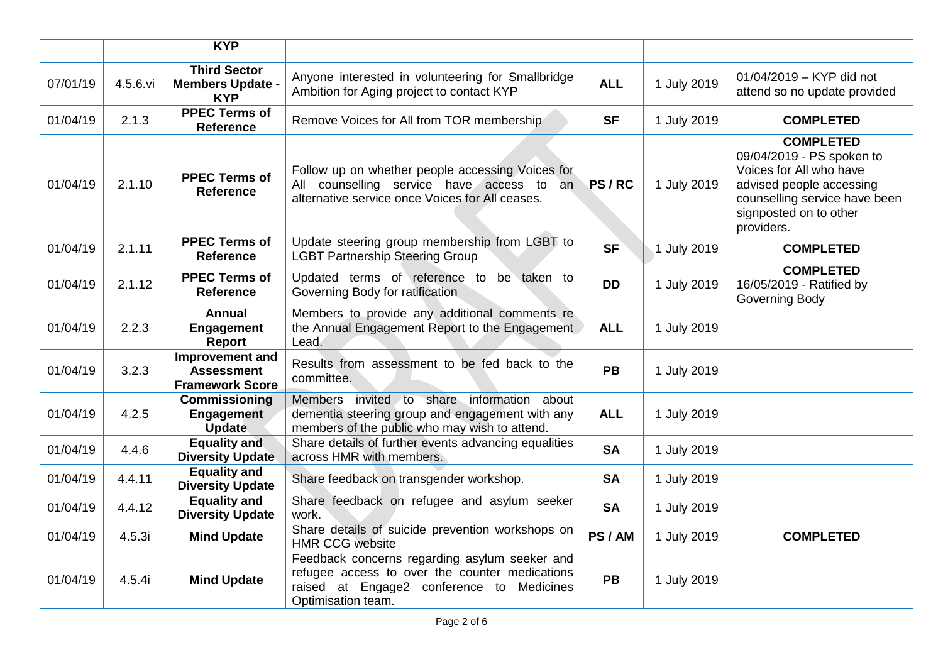|          |          | <b>KYP</b>                                                     |                                                                                                                                                                    |            |             |                                                                                                                                                                               |
|----------|----------|----------------------------------------------------------------|--------------------------------------------------------------------------------------------------------------------------------------------------------------------|------------|-------------|-------------------------------------------------------------------------------------------------------------------------------------------------------------------------------|
| 07/01/19 | 4.5.6.vi | <b>Third Sector</b><br><b>Members Update -</b><br><b>KYP</b>   | Anyone interested in volunteering for Smallbridge<br>Ambition for Aging project to contact KYP                                                                     | <b>ALL</b> | 1 July 2019 | 01/04/2019 - KYP did not<br>attend so no update provided                                                                                                                      |
| 01/04/19 | 2.1.3    | <b>PPEC Terms of</b><br><b>Reference</b>                       | Remove Voices for All from TOR membership                                                                                                                          | <b>SF</b>  | 1 July 2019 | <b>COMPLETED</b>                                                                                                                                                              |
| 01/04/19 | 2.1.10   | <b>PPEC Terms of</b><br><b>Reference</b>                       | Follow up on whether people accessing Voices for<br>All counselling service have access to an<br>alternative service once Voices for All ceases.                   | PS/RC      | 1 July 2019 | <b>COMPLETED</b><br>09/04/2019 - PS spoken to<br>Voices for All who have<br>advised people accessing<br>counselling service have been<br>signposted on to other<br>providers. |
| 01/04/19 | 2.1.11   | <b>PPEC Terms of</b><br><b>Reference</b>                       | Update steering group membership from LGBT to<br><b>LGBT Partnership Steering Group</b>                                                                            | <b>SF</b>  | 1 July 2019 | <b>COMPLETED</b>                                                                                                                                                              |
| 01/04/19 | 2.1.12   | <b>PPEC Terms of</b><br><b>Reference</b>                       | Updated terms of reference to be taken to<br>Governing Body for ratification                                                                                       | <b>DD</b>  | 1 July 2019 | <b>COMPLETED</b><br>16/05/2019 - Ratified by<br>Governing Body                                                                                                                |
| 01/04/19 | 2.2.3    | <b>Annual</b><br><b>Engagement</b><br>Report                   | Members to provide any additional comments re<br>the Annual Engagement Report to the Engagement<br>Lead.                                                           | <b>ALL</b> | 1 July 2019 |                                                                                                                                                                               |
| 01/04/19 | 3.2.3    | Improvement and<br><b>Assessment</b><br><b>Framework Score</b> | Results from assessment to be fed back to the<br>committee.                                                                                                        | <b>PB</b>  | 1 July 2019 |                                                                                                                                                                               |
| 01/04/19 | 4.2.5    | <b>Commissioning</b><br><b>Engagement</b><br><b>Update</b>     | Members invited to share information about<br>dementia steering group and engagement with any<br>members of the public who may wish to attend.                     | <b>ALL</b> | 1 July 2019 |                                                                                                                                                                               |
| 01/04/19 | 4.4.6    | <b>Equality and</b><br><b>Diversity Update</b>                 | Share details of further events advancing equalities<br>across HMR with members.                                                                                   | <b>SA</b>  | 1 July 2019 |                                                                                                                                                                               |
| 01/04/19 | 4.4.11   | <b>Equality and</b><br><b>Diversity Update</b>                 | Share feedback on transgender workshop.                                                                                                                            | <b>SA</b>  | 1 July 2019 |                                                                                                                                                                               |
| 01/04/19 | 4.4.12   | <b>Equality and</b><br><b>Diversity Update</b>                 | Share feedback on refugee and asylum seeker<br>work.                                                                                                               | <b>SA</b>  | 1 July 2019 |                                                                                                                                                                               |
| 01/04/19 | 4.5.3i   | <b>Mind Update</b>                                             | Share details of suicide prevention workshops on<br><b>HMR CCG website</b>                                                                                         | PS/AM      | 1 July 2019 | <b>COMPLETED</b>                                                                                                                                                              |
| 01/04/19 | 4.5.4i   | <b>Mind Update</b>                                             | Feedback concerns regarding asylum seeker and<br>refugee access to over the counter medications<br>raised at Engage2 conference to Medicines<br>Optimisation team. | <b>PB</b>  | 1 July 2019 |                                                                                                                                                                               |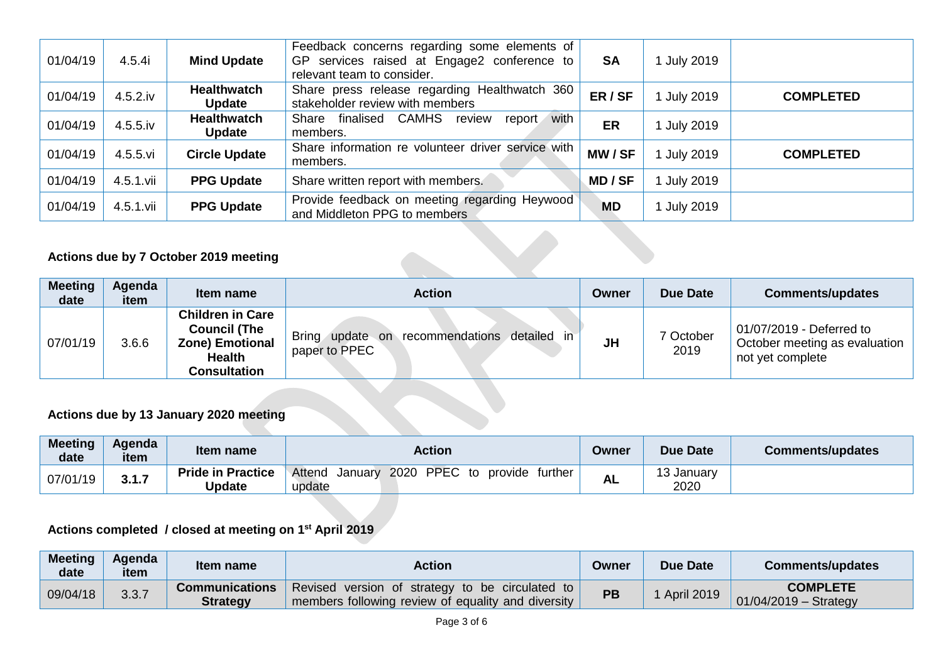| 01/04/19 | 4.5.4i      | <b>Mind Update</b>                  | Feedback concerns regarding some elements of<br>GP services raised at Engage2 conference to<br>relevant team to consider. | <b>SA</b> | 1 July 2019 |                  |
|----------|-------------|-------------------------------------|---------------------------------------------------------------------------------------------------------------------------|-----------|-------------|------------------|
| 01/04/19 | $4.5.2$ .iv | <b>Healthwatch</b><br><b>Update</b> | Share press release regarding Healthwatch 360<br>stakeholder review with members                                          | ER/SF     | 1 July 2019 | <b>COMPLETED</b> |
| 01/04/19 | $4.5.5$ .iv | <b>Healthwatch</b><br><b>Update</b> | with<br>finalised CAMHS<br>Share<br>report<br>review<br>members.                                                          | ER        | July 2019   |                  |
| 01/04/19 | 4.5.5.vi    | <b>Circle Update</b>                | Share information re volunteer driver service with<br>members.                                                            | MW/SF     | July 2019   | <b>COMPLETED</b> |
| 01/04/19 | 4.5.1.vii   | <b>PPG Update</b>                   | Share written report with members.                                                                                        | MD / SF   | 1 July 2019 |                  |
| 01/04/19 | 4.5.1.vii   | <b>PPG Update</b>                   | Provide feedback on meeting regarding Heywood<br>and Middleton PPG to members                                             | <b>MD</b> | July 2019   |                  |

## **Actions due by 7 October 2019 meeting**

| <b>Meeting</b><br>date | Agenda<br>item | Item name                                                                                          | <b>Action</b>                                                              | Owner     | <b>Due Date</b>   | <b>Comments/updates</b>                                                       |
|------------------------|----------------|----------------------------------------------------------------------------------------------------|----------------------------------------------------------------------------|-----------|-------------------|-------------------------------------------------------------------------------|
| 07/01/19               | 3.6.6          | <b>Children in Care</b><br><b>Council (The</b><br><b>Zone) Emotional</b><br>Health<br>Consultation | update on recommendations detailed<br><b>Bring</b><br>-in<br>paper to PPEC | <b>JH</b> | 7 October<br>2019 | 01/07/2019 - Deferred to<br>October meeting as evaluation<br>not yet complete |

## **Actions due by 13 January 2020 meeting**

| <b>Meeting</b><br>date | Agenda<br>item | Item name                                 | <b>Action</b>                                                 | Owner    | <b>Due Date</b>   | Comments/updates |
|------------------------|----------------|-------------------------------------------|---------------------------------------------------------------|----------|-------------------|------------------|
| 07/01/19               | $247$<br>J.I.I | <b>Pride in Practice</b><br><b>Update</b> | 2020 PPEC to provide further<br>. January<br>Attend<br>update | ΔI<br>ль | , Januar∨<br>2020 |                  |

## **Actions completed / closed at meeting on 1st April 2019**

| <b>Meeting</b><br>date | Agenda<br>item | Item name                         | Action                                                                                                | Owner | <b>Due Date</b>   | Comments/updates                           |
|------------------------|----------------|-----------------------------------|-------------------------------------------------------------------------------------------------------|-------|-------------------|--------------------------------------------|
| 09/04/18               | 3.3.7          | <b>Communications</b><br>Strategy | Revised version of strategy to be circulated to<br>members following review of equality and diversity | PB    | <b>April 2019</b> | <b>COMPLETE</b><br>$01/04/2019 -$ Strategy |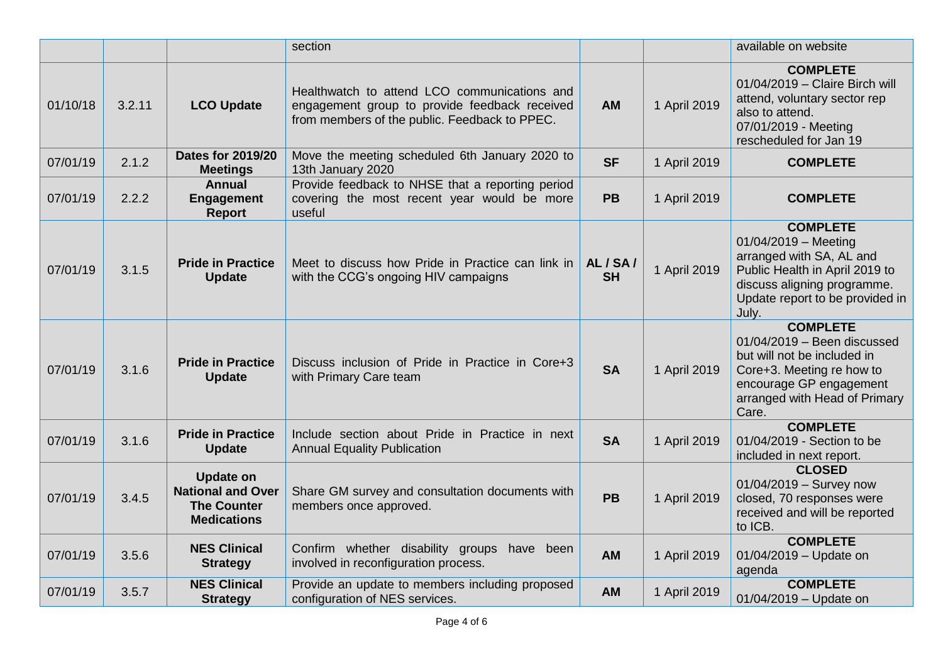|          |        |                                                                                          | section                                                                                                                                        |                     |              | available on website                                                                                                                                                              |
|----------|--------|------------------------------------------------------------------------------------------|------------------------------------------------------------------------------------------------------------------------------------------------|---------------------|--------------|-----------------------------------------------------------------------------------------------------------------------------------------------------------------------------------|
| 01/10/18 | 3.2.11 | <b>LCO Update</b>                                                                        | Healthwatch to attend LCO communications and<br>engagement group to provide feedback received<br>from members of the public. Feedback to PPEC. | <b>AM</b>           | 1 April 2019 | <b>COMPLETE</b><br>01/04/2019 - Claire Birch will<br>attend, voluntary sector rep<br>also to attend.<br>07/01/2019 - Meeting<br>rescheduled for Jan 19                            |
| 07/01/19 | 2.1.2  | <b>Dates for 2019/20</b><br><b>Meetings</b>                                              | Move the meeting scheduled 6th January 2020 to<br>13th January 2020                                                                            | <b>SF</b>           | 1 April 2019 | <b>COMPLETE</b>                                                                                                                                                                   |
| 07/01/19 | 2.2.2  | <b>Annual</b><br><b>Engagement</b><br><b>Report</b>                                      | Provide feedback to NHSE that a reporting period<br>covering the most recent year would be more<br>useful                                      | <b>PB</b>           | 1 April 2019 | <b>COMPLETE</b>                                                                                                                                                                   |
| 07/01/19 | 3.1.5  | <b>Pride in Practice</b><br><b>Update</b>                                                | Meet to discuss how Pride in Practice can link in<br>with the CCG's ongoing HIV campaigns                                                      | AL/SA/<br><b>SH</b> | 1 April 2019 | <b>COMPLETE</b><br>01/04/2019 - Meeting<br>arranged with SA, AL and<br>Public Health in April 2019 to<br>discuss aligning programme.<br>Update report to be provided in<br>July.  |
| 07/01/19 | 3.1.6  | <b>Pride in Practice</b><br><b>Update</b>                                                | Discuss inclusion of Pride in Practice in Core+3<br>with Primary Care team                                                                     | <b>SA</b>           | 1 April 2019 | <b>COMPLETE</b><br>$01/04/2019$ - Been discussed<br>but will not be included in<br>Core+3. Meeting re how to<br>encourage GP engagement<br>arranged with Head of Primary<br>Care. |
| 07/01/19 | 3.1.6  | <b>Pride in Practice</b><br><b>Update</b>                                                | Include section about Pride in Practice in next<br><b>Annual Equality Publication</b>                                                          | <b>SA</b>           | 1 April 2019 | <b>COMPLETE</b><br>01/04/2019 - Section to be<br>included in next report.                                                                                                         |
| 07/01/19 | 3.4.5  | <b>Update on</b><br><b>National and Over</b><br><b>The Counter</b><br><b>Medications</b> | Share GM survey and consultation documents with<br>members once approved.                                                                      | <b>PB</b>           | 1 April 2019 | <b>CLOSED</b><br>01/04/2019 - Survey now<br>closed, 70 responses were<br>received and will be reported<br>to ICB.                                                                 |
| 07/01/19 | 3.5.6  | <b>NES Clinical</b><br><b>Strategy</b>                                                   | Confirm whether disability groups have been<br>involved in reconfiguration process.                                                            | <b>AM</b>           | 1 April 2019 | <b>COMPLETE</b><br>01/04/2019 - Update on<br>agenda                                                                                                                               |
| 07/01/19 | 3.5.7  | <b>NES Clinical</b><br><b>Strategy</b>                                                   | Provide an update to members including proposed<br>configuration of NES services.                                                              | <b>AM</b>           | 1 April 2019 | <b>COMPLETE</b><br>01/04/2019 - Update on                                                                                                                                         |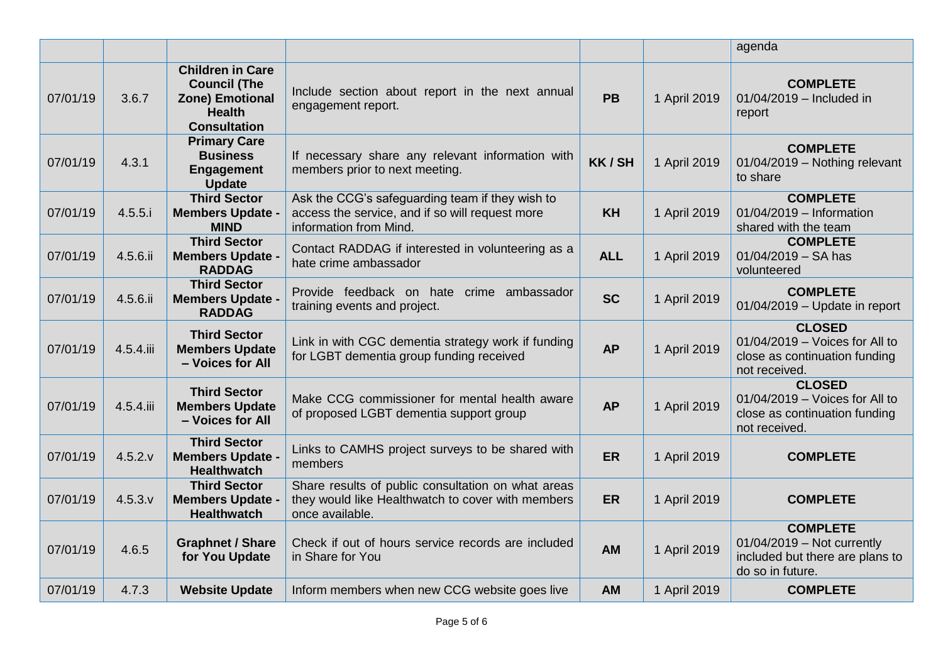|          |           |                                                                                                                  |                                                                                                                              |            |              | agenda                                                                                                 |
|----------|-----------|------------------------------------------------------------------------------------------------------------------|------------------------------------------------------------------------------------------------------------------------------|------------|--------------|--------------------------------------------------------------------------------------------------------|
| 07/01/19 | 3.6.7     | <b>Children in Care</b><br><b>Council (The</b><br><b>Zone) Emotional</b><br><b>Health</b><br><b>Consultation</b> | Include section about report in the next annual<br>engagement report.                                                        | <b>PB</b>  | 1 April 2019 | <b>COMPLETE</b><br>01/04/2019 - Included in<br>report                                                  |
| 07/01/19 | 4.3.1     | <b>Primary Care</b><br><b>Business</b><br><b>Engagement</b><br><b>Update</b>                                     | If necessary share any relevant information with<br>members prior to next meeting.                                           | KK/SH      | 1 April 2019 | <b>COMPLETE</b><br>01/04/2019 - Nothing relevant<br>to share                                           |
| 07/01/19 | 4.5.5.i   | <b>Third Sector</b><br><b>Members Update -</b><br><b>MIND</b>                                                    | Ask the CCG's safeguarding team if they wish to<br>access the service, and if so will request more<br>information from Mind. | <b>KH</b>  | 1 April 2019 | <b>COMPLETE</b><br>01/04/2019 - Information<br>shared with the team                                    |
| 07/01/19 | 4.5.6.ii  | <b>Third Sector</b><br><b>Members Update -</b><br><b>RADDAG</b>                                                  | Contact RADDAG if interested in volunteering as a<br>hate crime ambassador                                                   | <b>ALL</b> | 1 April 2019 | <b>COMPLETE</b><br>$01/04/2019 - SA$ has<br>volunteered                                                |
| 07/01/19 | 4.5.6.ii  | <b>Third Sector</b><br><b>Members Update -</b><br><b>RADDAG</b>                                                  | Provide feedback on hate crime ambassador<br>training events and project.                                                    | <b>SC</b>  | 1 April 2019 | <b>COMPLETE</b><br>$01/04/2019$ - Update in report                                                     |
| 07/01/19 | 4.5.4.iii | <b>Third Sector</b><br><b>Members Update</b><br>- Voices for All                                                 | Link in with CGC dementia strategy work if funding<br>for LGBT dementia group funding received                               | <b>AP</b>  | 1 April 2019 | <b>CLOSED</b><br>01/04/2019 - Voices for All to<br>close as continuation funding<br>not received.      |
| 07/01/19 | 4.5.4.iii | <b>Third Sector</b><br><b>Members Update</b><br>- Voices for All                                                 | Make CCG commissioner for mental health aware<br>of proposed LGBT dementia support group                                     | <b>AP</b>  | 1 April 2019 | <b>CLOSED</b><br>01/04/2019 - Voices for All to<br>close as continuation funding<br>not received.      |
| 07/01/19 | 4.5.2.v   | <b>Third Sector</b><br><b>Members Update -</b><br><b>Healthwatch</b>                                             | Links to CAMHS project surveys to be shared with<br>members                                                                  | <b>ER</b>  | 1 April 2019 | <b>COMPLETE</b>                                                                                        |
| 07/01/19 | 4.5.3.v   | <b>Third Sector</b><br><b>Members Update -</b><br><b>Healthwatch</b>                                             | Share results of public consultation on what areas<br>they would like Healthwatch to cover with members<br>once available.   | <b>ER</b>  | 1 April 2019 | <b>COMPLETE</b>                                                                                        |
| 07/01/19 | 4.6.5     | <b>Graphnet / Share</b><br>for You Update                                                                        | Check if out of hours service records are included<br>in Share for You                                                       | <b>AM</b>  | 1 April 2019 | <b>COMPLETE</b><br>$01/04/2019$ – Not currently<br>included but there are plans to<br>do so in future. |
| 07/01/19 | 4.7.3     | <b>Website Update</b>                                                                                            | Inform members when new CCG website goes live                                                                                | <b>AM</b>  | 1 April 2019 | <b>COMPLETE</b>                                                                                        |